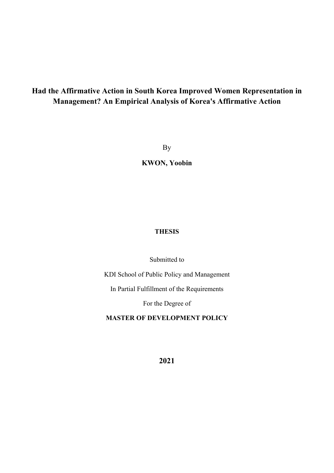# **Had the Affirmative Action in South Korea Improved Women Representation in Management? An Empirical Analysis of Korea's Affirmative Action**

By

**KWON, Yoobin**

### **THESIS**

Submitted to

KDI School of Public Policy and Management

In Partial Fulfillment of the Requirements

For the Degree of

**MASTER OF DEVELOPMENT POLICY** 

**2021**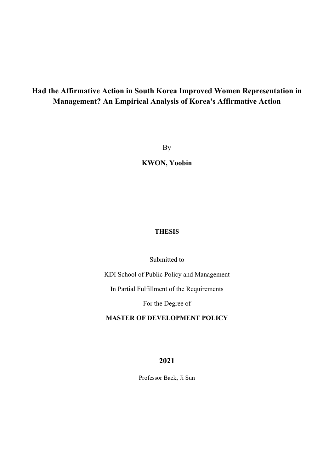# **Had the Affirmative Action in South Korea Improved Women Representation in Management? An Empirical Analysis of Korea's Affirmative Action**

By

**KWON, Yoobin**

### **THESIS**

#### Submitted to

KDI School of Public Policy and Management

In Partial Fulfillment of the Requirements

For the Degree of

#### **MASTER OF DEVELOPMENT POLICY**

**2021** 

Professor Baek, Ji Sun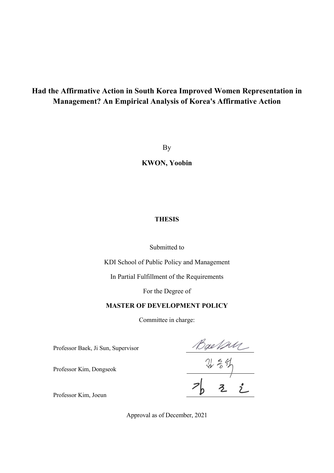# **Had the Affirmative Action in South Korea Improved Women Representation in Management? An Empirical Analysis of Korea's Affirmative Action**

By

**KWON, Yoobin**

#### **THESIS**

Submitted to

KDI School of Public Policy and Management

In Partial Fulfillment of the Requirements

For the Degree of

#### **MASTER OF DEVELOPMENT POLICY**

Committee in charge:

Professor Baek, Ji Sun, Supervisor

 $\frac{Bx+24}{2}$ <br> $\frac{25}{2}$ 

Professor Kim, Joeun

Professor Kim, Dongseok

Approval as of December, 2021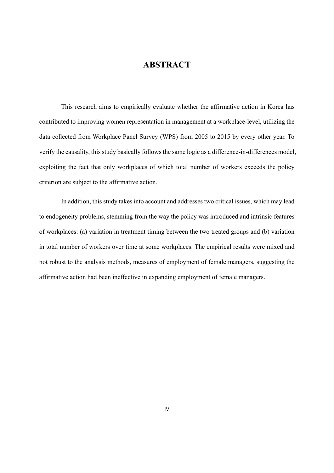### **ABSTRACT**

This research aims to empirically evaluate whether the affirmative action in Korea has contributed to improving women representation in management at a workplace-level, utilizing the data collected from Workplace Panel Survey (WPS) from 2005 to 2015 by every other year. To verify the causality, this study basically follows the same logic as a difference-in-differences model, exploiting the fact that only workplaces of which total number of workers exceeds the policy criterion are subject to the affirmative action.

In addition, this study takes into account and addresses two critical issues, which may lead to endogeneity problems, stemming from the way the policy was introduced and intrinsic features of workplaces: (a) variation in treatment timing between the two treated groups and (b) variation in total number of workers over time at some workplaces. The empirical results were mixed and not robust to the analysis methods, measures of employment of female managers, suggesting the affirmative action had been ineffective in expanding employment of female managers.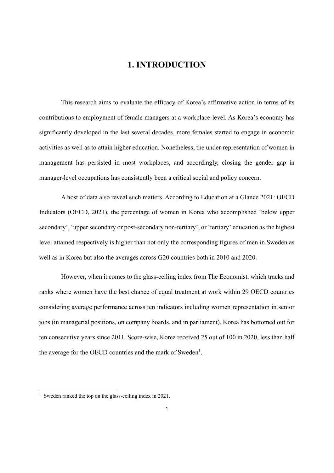## **1. INTRODUCTION**

This research aims to evaluate the efficacy of Korea's affirmative action in terms of its contributions to employment of female managers at a workplace-level. As Korea's economy has significantly developed in the last several decades, more females started to engage in economic activities as well as to attain higher education. Nonetheless, the under-representation of women in management has persisted in most workplaces, and accordingly, closing the gender gap in manager-level occupations has consistently been a critical social and policy concern.

A host of data also reveal such matters. According to Education at a Glance 2021: OECD Indicators (OECD, 2021), the percentage of women in Korea who accomplished 'below upper secondary', 'upper secondary or post-secondary non-tertiary', or 'tertiary' education as the highest level attained respectively is higher than not only the corresponding figures of men in Sweden as well as in Korea but also the averages across G20 countries both in 2010 and 2020.

However, when it comes to the glass-ceiling index from The Economist, which tracks and ranks where women have the best chance of equal treatment at work within 29 OECD countries considering average performance across ten indicators including women representation in senior jobs (in managerial positions, on company boards, and in parliament), Korea has bottomed out for ten consecutive years since 2011. Score-wise, Korea received 25 out of 100 in 2020, less than half the average for the OECD countries and the mark of Sweden<sup>1</sup>.

<sup>&</sup>lt;sup>1</sup> Sweden ranked the top on the glass-ceiling index in 2021.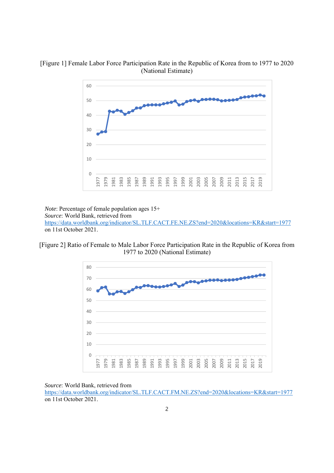



*Note*: Percentage of female population ages 15+ *Source*: World Bank, retrieved from https://data.worldbank.org/indicator/SL.TLF.CACT.FE.NE.ZS?end=2020&locations=KR&start=1977 on 11st October 2021.

[Figure 2] Ratio of Female to Male Labor Force Participation Rate in the Republic of Korea from 1977 to 2020 (National Estimate)



*Source*: World Bank, retrieved from

https://data.worldbank.org/indicator/SL.TLF.CACT.FM.NE.ZS?end=2020&locations=KR&start=1977 on 11st October 2021.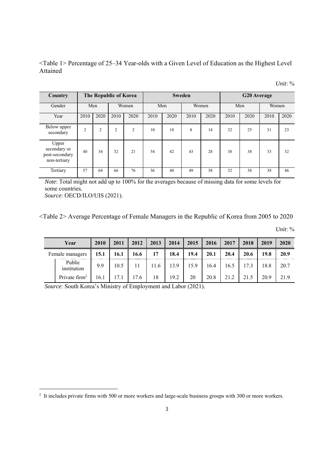<Table 1> Percentage of 25–34 Year-olds with a Given Level of Education as the Highest Level Attained

| Unit: % |  |
|---------|--|
|         |  |

| Country                                                 |                | The Republic of Korea<br><b>G20</b> Average<br><b>Sweden</b> |                |                |      |      |      |       |      |      |       |      |
|---------------------------------------------------------|----------------|--------------------------------------------------------------|----------------|----------------|------|------|------|-------|------|------|-------|------|
| Gender                                                  |                | Men                                                          |                | Women          |      | Men  |      | Women |      | Men  | Women |      |
| Year                                                    | 2010           | 2020                                                         | 2010           | 2020           | 2010 | 2020 | 2010 | 2020  | 2010 | 2020 | 2010  | 2020 |
| Below upper<br>secondary                                | $\overline{2}$ | $\overline{2}$                                               | $\overline{2}$ | $\overline{2}$ | 10   | 18   | 8    | 14    | 32   | 25   | 31    | 23   |
| Upper<br>secondary or<br>post-secondary<br>non-tertiary | 40             | 34                                                           | 32             | 21             | 54   | 42   | 43   | 28    | 38   | 38   | 33    | 32   |
| Tertiary                                                | 57             | 64                                                           | 66             | 76             | 36   | 40   | 49   | 58    | 32   | 38   | 38    | 46   |

*Note*: Total might not add up to 100% for the averages because of missing data for some levels for some countries. *Source*: OECD/ILO/UIS (2021).

<Table 2> Average Percentage of Female Managers in the Republic of Korea from 2005 to 2020

*Unit*: %

| Year                  | 2010 | 2011 | 2012 | 2013 | 2014 | 2015 | 2016 | 2017 | 2018 | 2019 | 2020 |
|-----------------------|------|------|------|------|------|------|------|------|------|------|------|
| Female managers       | 15.1 | 16.1 | 16.6 | 17   | 18.4 | 19.4 | 20.1 | 20.4 | 20.6 | 19.8 | 20.9 |
| Public<br>institution | 9.9  | 10.5 | 11   | 11.6 | 13.9 | 15.9 | 16.4 | 16.5 | 17.3 | 18.8 | 20.7 |
| Private $firm2$       | 16.1 | 17.1 | 17.6 | 18   | 19.2 | 20   | 20.8 | 21.2 | 21.5 | 20.9 | 21.9 |

*Source*: South Korea's Ministry of Employment and Labor (2021).

<sup>&</sup>lt;sup>2</sup> It includes private firms with 500 or more workers and large-scale business groups with 300 or more workers.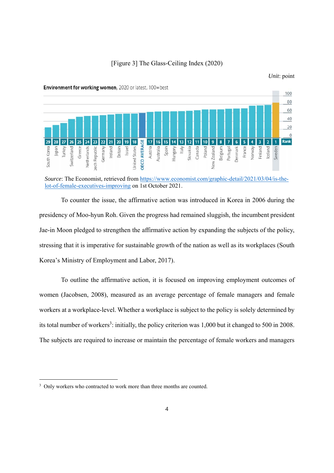

*Unit*: point



Environment for working women, 2020 or latest, 100=best

To counter the issue, the affirmative action was introduced in Korea in 2006 during the presidency of Moo-hyun Roh. Given the progress had remained sluggish, the incumbent president Jae-in Moon pledged to strengthen the affirmative action by expanding the subjects of the policy, stressing that it is imperative for sustainable growth of the nation as well as its workplaces (South Korea's Ministry of Employment and Labor, 2017).

To outline the affirmative action, it is focused on improving employment outcomes of women (Jacobsen, 2008), measured as an average percentage of female managers and female workers at a workplace-level. Whether a workplace is subject to the policy is solely determined by its total number of workers<sup>3</sup>: initially, the policy criterion was  $1,000$  but it changed to 500 in 2008. The subjects are required to increase or maintain the percentage of female workers and managers

*Source*: The Economist, retrieved from https://www.economist.com/graphic-detail/2021/03/04/is-thelot-of-female-executives-improving on 1st October 2021.

<sup>&</sup>lt;sup>3</sup> Only workers who contracted to work more than three months are counted.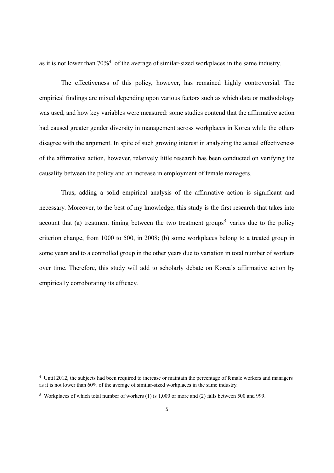as it is not lower than  $70\%$ <sup>4</sup> of the average of similar-sized workplaces in the same industry.

The effectiveness of this policy, however, has remained highly controversial. The empirical findings are mixed depending upon various factors such as which data or methodology was used, and how key variables were measured: some studies contend that the affirmative action had caused greater gender diversity in management across workplaces in Korea while the others disagree with the argument. In spite of such growing interest in analyzing the actual effectiveness of the affirmative action, however, relatively little research has been conducted on verifying the causality between the policy and an increase in employment of female managers.

Thus, adding a solid empirical analysis of the affirmative action is significant and necessary. Moreover, to the best of my knowledge, this study is the first research that takes into account that (a) treatment timing between the two treatment groups<sup>5</sup> varies due to the policy criterion change, from 1000 to 500, in 2008; (b) some workplaces belong to a treated group in some years and to a controlled group in the other years due to variation in total number of workers over time. Therefore, this study will add to scholarly debate on Korea's affirmative action by empirically corroborating its efficacy.

<sup>4</sup> Until 2012, the subjects had been required to increase or maintain the percentage of female workers and managers as it is not lower than 60% of the average of similar-sized workplaces in the same industry.

<sup>5</sup> Workplaces of which total number of workers (1) is 1,000 or more and (2) falls between 500 and 999.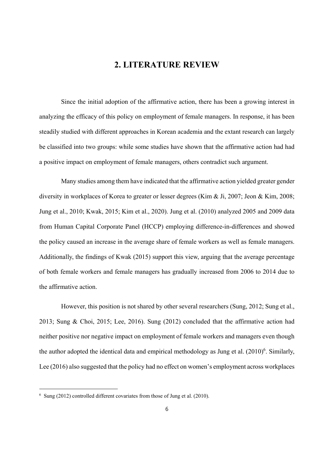### **2. LITERATURE REVIEW**

Since the initial adoption of the affirmative action, there has been a growing interest in analyzing the efficacy of this policy on employment of female managers. In response, it has been steadily studied with different approaches in Korean academia and the extant research can largely be classified into two groups: while some studies have shown that the affirmative action had had a positive impact on employment of female managers, others contradict such argument.

Many studies among them have indicated that the affirmative action yielded greater gender diversity in workplaces of Korea to greater or lesser degrees (Kim & Ji, 2007; Jeon & Kim, 2008; Jung et al., 2010; Kwak, 2015; Kim et al., 2020). Jung et al. (2010) analyzed 2005 and 2009 data from Human Capital Corporate Panel (HCCP) employing difference-in-differences and showed the policy caused an increase in the average share of female workers as well as female managers. Additionally, the findings of Kwak (2015) support this view, arguing that the average percentage of both female workers and female managers has gradually increased from 2006 to 2014 due to the affirmative action.

However, this position is not shared by other several researchers (Sung, 2012; Sung et al., 2013; Sung & Choi, 2015; Lee, 2016). Sung (2012) concluded that the affirmative action had neither positive nor negative impact on employment of female workers and managers even though the author adopted the identical data and empirical methodology as Jung et al.  $(2010)^6$ . Similarly, Lee (2016) also suggested that the policy had no effect on women's employment across workplaces

 $6$  Sung (2012) controlled different covariates from those of Jung et al. (2010).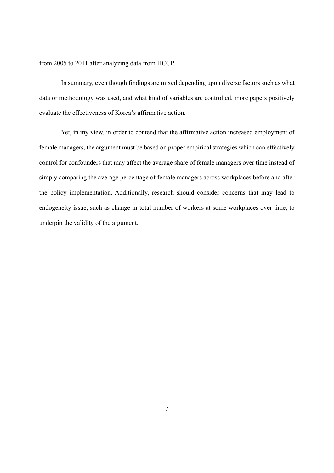from 2005 to 2011 after analyzing data from HCCP.

In summary, even though findings are mixed depending upon diverse factors such as what data or methodology was used, and what kind of variables are controlled, more papers positively evaluate the effectiveness of Korea's affirmative action.

Yet, in my view, in order to contend that the affirmative action increased employment of female managers, the argument must be based on proper empirical strategies which can effectively control for confounders that may affect the average share of female managers over time instead of simply comparing the average percentage of female managers across workplaces before and after the policy implementation. Additionally, research should consider concerns that may lead to endogeneity issue, such as change in total number of workers at some workplaces over time, to underpin the validity of the argument.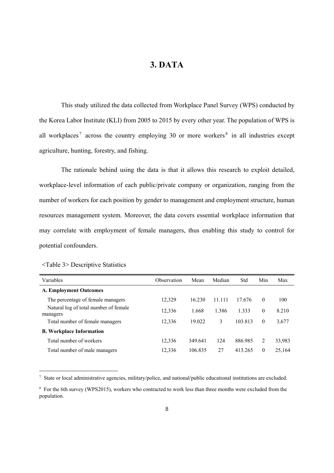## **3. DATA**

This study utilized the data collected from Workplace Panel Survey (WPS) conducted by the Korea Labor Institute (KLI) from 2005 to 2015 by every other year. The population of WPS is all workplaces<sup>7</sup> across the country employing 30 or more workers<sup>8</sup> in all industries except agriculture, hunting, forestry, and fishing.

The rationale behind using the data is that it allows this research to exploit detailed, workplace-level information of each public/private company or organization, ranging from the number of workers for each position by gender to management and employment structure, human resources management system. Moreover, the data covers essential workplace information that may correlate with employment of female managers, thus enabling this study to control for potential confounders.

| Variables                                         | Observation | Mean    | Median | Std     | Min      | Max    |
|---------------------------------------------------|-------------|---------|--------|---------|----------|--------|
| <b>A. Employment Outcomes</b>                     |             |         |        |         |          |        |
| The percentage of female managers                 | 12,329      | 16.230  | 11.111 | 17.676  | $\theta$ | 100    |
| Natural log of total number of female<br>managers | 12,336      | 1.668   | 1.386  | 1.333   | $\theta$ | 8.210  |
| Total number of female managers                   | 12,336      | 19.022  | 3      | 103.813 | $\theta$ | 3,677  |
| <b>B. Workplace Information</b>                   |             |         |        |         |          |        |
| Total number of workers                           | 12,336      | 349.641 | 124    | 886.985 | 2        | 33,983 |
| Total number of male managers                     | 12,336      | 106.835 | 27     | 413.265 | $\theta$ | 25,164 |

| <table 3=""> Descriptive Statistics</table> |  |
|---------------------------------------------|--|
|---------------------------------------------|--|

-

7 State or local administrative agencies, military/police, and national/public educational institutions are excluded.

<sup>&</sup>lt;sup>8</sup> For the 6th survey (WPS2015), workers who contracted to work less than three months were excluded from the population.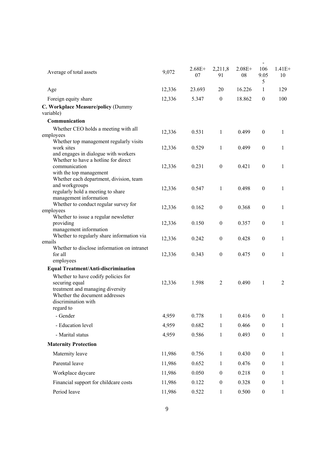|        |                                                          |                                                    |                                                                              | $\overline{\phantom{0}}$                           |                                                                                                                   |
|--------|----------------------------------------------------------|----------------------------------------------------|------------------------------------------------------------------------------|----------------------------------------------------|-------------------------------------------------------------------------------------------------------------------|
| 9,072  | $2.68E+$<br>07                                           | 2,211,8<br>91                                      | $2.08E+$<br>08                                                               | 106<br>9.05                                        | $1.41E+$<br>10                                                                                                    |
| 12,336 | 23.693                                                   | 20                                                 | 16.226                                                                       | 1                                                  | 129                                                                                                               |
| 12,336 | 5.347                                                    | $\theta$                                           | 18.862                                                                       | $\mathbf{0}$                                       | 100                                                                                                               |
|        |                                                          |                                                    |                                                                              |                                                    |                                                                                                                   |
|        |                                                          |                                                    |                                                                              |                                                    |                                                                                                                   |
|        |                                                          |                                                    |                                                                              |                                                    | 1                                                                                                                 |
|        |                                                          |                                                    |                                                                              |                                                    |                                                                                                                   |
|        |                                                          |                                                    |                                                                              |                                                    |                                                                                                                   |
|        |                                                          |                                                    |                                                                              |                                                    | 1                                                                                                                 |
|        |                                                          |                                                    |                                                                              |                                                    |                                                                                                                   |
| 12,336 | 0.231                                                    | $\mathbf{0}$                                       | 0.421                                                                        | $\boldsymbol{0}$                                   | 1                                                                                                                 |
|        |                                                          |                                                    |                                                                              |                                                    |                                                                                                                   |
|        |                                                          |                                                    |                                                                              |                                                    |                                                                                                                   |
| 12,336 | 0.547                                                    | $\mathbf{1}$                                       | 0.498                                                                        | $\boldsymbol{0}$                                   | $\mathbf{1}$                                                                                                      |
|        |                                                          |                                                    |                                                                              |                                                    |                                                                                                                   |
|        |                                                          |                                                    |                                                                              |                                                    |                                                                                                                   |
|        |                                                          |                                                    |                                                                              |                                                    | 1                                                                                                                 |
|        |                                                          |                                                    |                                                                              |                                                    |                                                                                                                   |
|        |                                                          |                                                    |                                                                              |                                                    | 1                                                                                                                 |
|        |                                                          |                                                    |                                                                              |                                                    |                                                                                                                   |
|        |                                                          |                                                    |                                                                              |                                                    | 1                                                                                                                 |
|        |                                                          |                                                    |                                                                              |                                                    |                                                                                                                   |
| 12,336 | 0.343                                                    | $\mathbf{0}$                                       | 0.475                                                                        | $\boldsymbol{0}$                                   | 1                                                                                                                 |
|        |                                                          |                                                    |                                                                              |                                                    |                                                                                                                   |
|        |                                                          |                                                    |                                                                              |                                                    |                                                                                                                   |
|        |                                                          |                                                    |                                                                              |                                                    |                                                                                                                   |
|        |                                                          |                                                    |                                                                              |                                                    | $\overline{2}$                                                                                                    |
|        |                                                          |                                                    |                                                                              |                                                    |                                                                                                                   |
|        |                                                          |                                                    |                                                                              |                                                    |                                                                                                                   |
|        |                                                          |                                                    |                                                                              |                                                    |                                                                                                                   |
| 4,959  | 0.778                                                    | $\mathbf{1}$                                       | 0.416                                                                        | $\boldsymbol{0}$                                   | 1                                                                                                                 |
| 4,959  | 0.682                                                    | 1                                                  | 0.466                                                                        | $\boldsymbol{0}$                                   | 1                                                                                                                 |
| 4,959  | 0.586                                                    | 1                                                  | 0.493                                                                        | $\boldsymbol{0}$                                   | 1                                                                                                                 |
|        |                                                          |                                                    |                                                                              |                                                    |                                                                                                                   |
| 11,986 | 0.756                                                    | 1                                                  | 0.430                                                                        | $\boldsymbol{0}$                                   | 1                                                                                                                 |
| 11,986 | 0.652                                                    | $\mathbf{1}$                                       | 0.476                                                                        | $\boldsymbol{0}$                                   | 1                                                                                                                 |
| 11,986 | 0.050                                                    | $\boldsymbol{0}$                                   | 0.218                                                                        | $\boldsymbol{0}$                                   | 1                                                                                                                 |
| 11,986 | 0.122                                                    | $\boldsymbol{0}$                                   | 0.328                                                                        | $\boldsymbol{0}$                                   | 1                                                                                                                 |
| 11,986 | 0.522                                                    | $\mathbf{1}$                                       | 0.500                                                                        | $\boldsymbol{0}$                                   | $\mathbf{1}$                                                                                                      |
|        | 12,336<br>12,336<br>12,336<br>12,336<br>12,336<br>12,336 | 0.531<br>0.529<br>0.162<br>0.150<br>0.242<br>1.598 | 1<br>1<br>$\mathbf{0}$<br>$\boldsymbol{0}$<br>$\mathbf{0}$<br>$\overline{2}$ | 0.499<br>0.499<br>0.368<br>0.357<br>0.428<br>0.490 | 5<br>$\boldsymbol{0}$<br>$\boldsymbol{0}$<br>$\mathbf{0}$<br>$\boldsymbol{0}$<br>$\boldsymbol{0}$<br>$\mathbf{1}$ |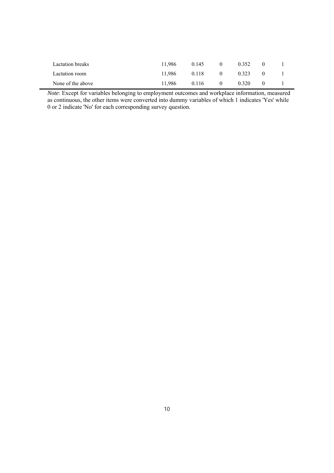| Lactation breaks  | 11.986 | 0.145 | $\theta$ | 0.352 |  |
|-------------------|--------|-------|----------|-------|--|
| Lactation room    | 11.986 | 0.118 | $\theta$ | 0.323 |  |
| None of the above | 11.986 | 0.116 | $\theta$ | 0.320 |  |

*Note*: Except for variables belonging to employment outcomes and workplace information, measured as continuous, the other items were converted into dummy variables of which 1 indicates 'Yes' while 0 or 2 indicate 'No' for each corresponding survey question.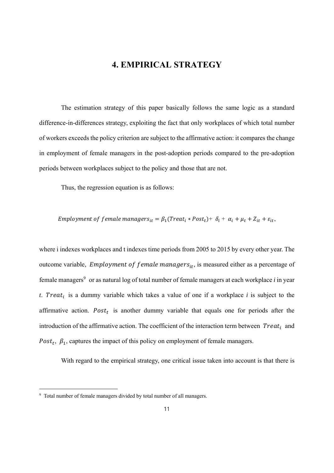### **4. EMPIRICAL STRATEGY**

The estimation strategy of this paper basically follows the same logic as a standard difference-in-differences strategy, exploiting the fact that only workplaces of which total number of workers exceeds the policy criterion are subject to the affirmative action: it compares the change in employment of female managers in the post-adoption periods compared to the pre-adoption periods between workplaces subject to the policy and those that are not.

Thus, the regression equation is as follows:

*Employment of female managers*<sub>it</sub> =  $\beta_1(Treat_i * Post_t) + \delta_i + \alpha_i + \mu_t + Z_{it} + \varepsilon_{it}$ ,

where i indexes workplaces and t indexes time periods from 2005 to 2015 by every other year. The outcome variable, *Employment of female managers*<sub>it</sub>, is measured either as a percentage of female managers<sup>9</sup> or as natural log of total number of female managers at each workplace *i* in year *t*. Treat<sub>i</sub> is a dummy variable which takes a value of one if a workplace *i* is subject to the affirmative action.  $Post<sub>t</sub>$  is another dummy variable that equals one for periods after the introduction of the affirmative action. The coefficient of the interaction term between  $Treat_i$  and Post<sub>t</sub>,  $\beta_1$ , captures the impact of this policy on employment of female managers.

With regard to the empirical strategy, one critical issue taken into account is that there is

<sup>&</sup>lt;sup>9</sup> Total number of female managers divided by total number of all managers.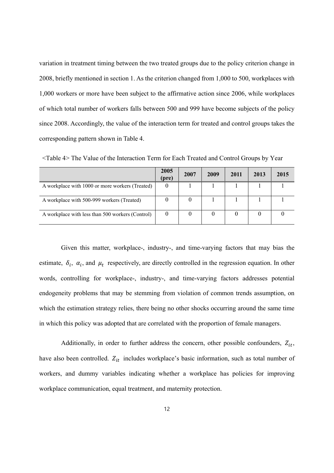variation in treatment timing between the two treated groups due to the policy criterion change in 2008, briefly mentioned in section 1. As the criterion changed from 1,000 to 500, workplaces with 1,000 workers or more have been subject to the affirmative action since 2006, while workplaces of which total number of workers falls between 500 and 999 have become subjects of the policy since 2008. Accordingly, the value of the interaction term for treated and control groups takes the corresponding pattern shown in Table 4.

|                                                  | 2005<br>(pre) | 2007 | 2009 | 2011 | 2013 | 2015 |
|--------------------------------------------------|---------------|------|------|------|------|------|
| A workplace with 1000 or more workers (Treated)  |               |      |      |      |      |      |
| A workplace with 500-999 workers (Treated)       |               |      |      |      |      |      |
| A workplace with less than 500 workers (Control) |               |      |      |      |      |      |

<Table 4> The Value of the Interaction Term for Each Treated and Control Groups by Year

Given this matter, workplace-, industry-, and time-varying factors that may bias the estimate,  $\delta_i$ ,  $\alpha_i$ , and  $\mu_t$  respectively, are directly controlled in the regression equation. In other words, controlling for workplace-, industry-, and time-varying factors addresses potential endogeneity problems that may be stemming from violation of common trends assumption, on which the estimation strategy relies, there being no other shocks occurring around the same time in which this policy was adopted that are correlated with the proportion of female managers.

Additionally, in order to further address the concern, other possible confounders,  $Z_{it}$ , have also been controlled.  $Z_{it}$  includes workplace's basic information, such as total number of workers, and dummy variables indicating whether a workplace has policies for improving workplace communication, equal treatment, and maternity protection.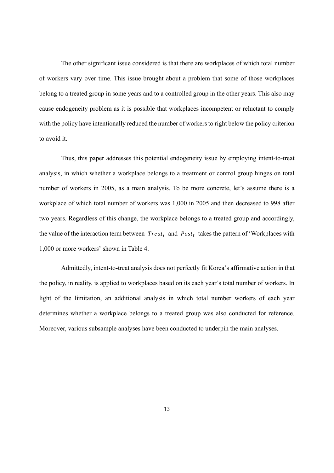The other significant issue considered is that there are workplaces of which total number of workers vary over time. This issue brought about a problem that some of those workplaces belong to a treated group in some years and to a controlled group in the other years. This also may cause endogeneity problem as it is possible that workplaces incompetent or reluctant to comply with the policy have intentionally reduced the number of workers to right below the policy criterion to avoid it.

Thus, this paper addresses this potential endogeneity issue by employing intent-to-treat analysis, in which whether a workplace belongs to a treatment or control group hinges on total number of workers in 2005, as a main analysis. To be more concrete, let's assume there is a workplace of which total number of workers was 1,000 in 2005 and then decreased to 998 after two years. Regardless of this change, the workplace belongs to a treated group and accordingly, the value of the interaction term between  $Treat_i$  and  $Post_t$  takes the pattern of 'Workplaces with 1,000 or more workers' shown in Table 4.

Admittedly, intent-to-treat analysis does not perfectly fit Korea's affirmative action in that the policy, in reality, is applied to workplaces based on its each year's total number of workers. In light of the limitation, an additional analysis in which total number workers of each year determines whether a workplace belongs to a treated group was also conducted for reference. Moreover, various subsample analyses have been conducted to underpin the main analyses.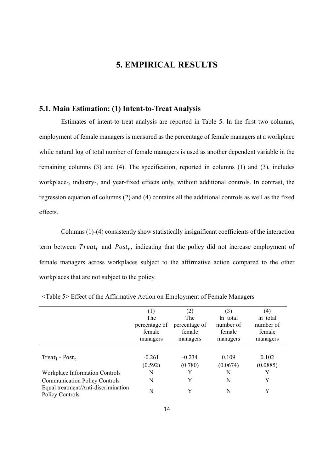### **5. EMPIRICAL RESULTS**

#### **5.1. Main Estimation: (1) Intent-to-Treat Analysis**

Estimates of intent-to-treat analysis are reported in Table 5. In the first two columns, employment of female managers is measured as the percentage of female managers at a workplace while natural log of total number of female managers is used as another dependent variable in the remaining columns (3) and (4). The specification, reported in columns (1) and (3), includes workplace-, industry-, and year-fixed effects only, without additional controls. In contrast, the regression equation of columns (2) and (4) contains all the additional controls as well as the fixed effects.

Columns (1)-(4) consistently show statistically insignificant coefficients of the interaction term between  $Treat_i$  and  $Post_t$ , indicating that the policy did not increase employment of female managers across workplaces subject to the affirmative action compared to the other workplaces that are not subject to the policy.

|                                                        | (1)           | (2)           | (3)       | $\left( 4\right)$ |
|--------------------------------------------------------|---------------|---------------|-----------|-------------------|
|                                                        | The           | The           | ln total  | ln total          |
|                                                        | percentage of | percentage of | number of | number of         |
|                                                        | female        | female        | female    | female            |
|                                                        | managers      | managers      | managers  | managers          |
|                                                        |               |               |           |                   |
| Treat <sub>i</sub> * Post <sub>t</sub>                 | $-0.261$      | $-0.234$      | 0.109     | 0.102             |
|                                                        | (0.592)       | (0.780)       | (0.0674)  | (0.0885)          |
| Workplace Information Controls                         | N             | Y             | N         |                   |
| <b>Communication Policy Controls</b>                   | N             | Y             | N         | Y                 |
| Equal treatment/Anti-discrimination<br>Policy Controls | N             | Y             | N         | Y                 |

<Table 5> Effect of the Affirmative Action on Employment of Female Managers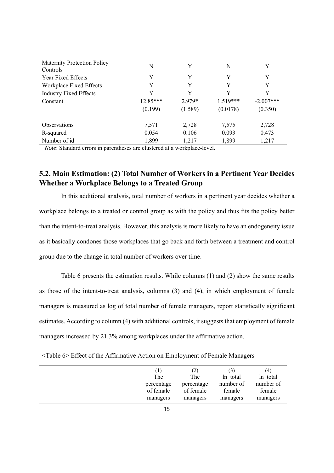| <b>Maternity Protection Policy</b> | N          | Y       | N          | Y           |
|------------------------------------|------------|---------|------------|-------------|
| Controls                           |            |         |            |             |
| Year Fixed Effects                 | Y          | Y       | Y          | Y           |
| Workplace Fixed Effects            | Y          | Y       | Y          | Y           |
| <b>Industry Fixed Effects</b>      | Y          | Y       | Y          | Y           |
| Constant                           | $12.85***$ | 2.979*  | $1.519***$ | $-2.007***$ |
|                                    | (0.199)    | (1.589) | (0.0178)   | (0.350)     |
| <b>Observations</b>                | 7,571      | 2,728   | 7,575      | 2,728       |
| R-squared                          | 0.054      | 0.106   | 0.093      | 0.473       |
| Number of id                       | 1,899      | 1,217   | 1,899      | 1,217       |

*Note*: Standard errors in parentheses are clustered at a workplace-level.

## **5.2. Main Estimation: (2) Total Number of Workers in a Pertinent Year Decides Whether a Workplace Belongs to a Treated Group**

In this additional analysis, total number of workers in a pertinent year decides whether a workplace belongs to a treated or control group as with the policy and thus fits the policy better than the intent-to-treat analysis. However, this analysis is more likely to have an endogeneity issue as it basically condones those workplaces that go back and forth between a treatment and control group due to the change in total number of workers over time.

Table 6 presents the estimation results. While columns (1) and (2) show the same results as those of the intent-to-treat analysis, columns (3) and (4), in which employment of female managers is measured as log of total number of female managers, report statistically significant estimates. According to column (4) with additional controls, it suggests that employment of female managers increased by 21.3% among workplaces under the affirmative action.

<Table 6> Effect of the Affirmative Action on Employment of Female Managers

| (1)        | (2)        |           | (4)       |
|------------|------------|-----------|-----------|
| The        | The        | ln total  | ln total  |
| percentage | percentage | number of | number of |
| of female  | of female  | female    | female    |
| managers   | managers   | managers  | managers  |
|            |            |           |           |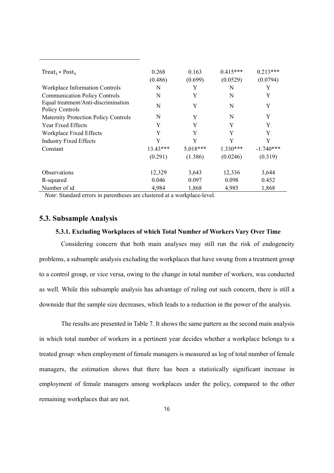| Treat <sub>i</sub> * Post <sub>t</sub>                 | 0.268<br>(0.486) | 0.163<br>(0.699) | $0.415***$<br>(0.0529) | $0.213***$<br>(0.0794) |
|--------------------------------------------------------|------------------|------------------|------------------------|------------------------|
| Workplace Information Controls                         | N                | Y                | N                      | Y                      |
| <b>Communication Policy Controls</b>                   | N                | Y                | N                      | Y                      |
| Equal treatment/Anti-discrimination<br>Policy Controls | N                | Y                | N                      | Y                      |
| <b>Maternity Protection Policy Controls</b>            | N                | Y                | N                      | Y                      |
| Year Fixed Effects                                     | Y                | Y                | Y                      | Y                      |
| Workplace Fixed Effects                                | Y                | Y                | Y                      | Y                      |
| <b>Industry Fixed Effects</b>                          | Y                | Y                | Y                      | Y                      |
| Constant                                               | $13.43***$       | 5.018***         | $1.330***$             | $-1.740***$            |
|                                                        | (0.291)          | (1.386)          | (0.0246)               | (0.319)                |
| Observations                                           | 12,329           | 3,643            | 12,336                 | 3,644                  |
| R-squared                                              | 0.046            | 0.097            | 0.098                  | 0.452                  |
| Number of id                                           | 4,984            | 1,868            | 4,985                  | 1,868                  |

*Note*: Standard errors in parentheses are clustered at a workplace-level.

#### **5.3. Subsample Analysis**

#### **5.3.1. Excluding Workplaces of which Total Number of Workers Vary Over Time**

Considering concern that both main analyses may still run the risk of endogeneity problems, a subsample analysis excluding the workplaces that have swung from a treatment group to a control group, or vice versa, owing to the change in total number of workers, was conducted as well. While this subsample analysis has advantage of ruling out such concern, there is still a downside that the sample size decreases, which leads to a reduction in the power of the analysis.

The results are presented in Table 7. It shows the same pattern as the second main analysis in which total number of workers in a pertinent year decides whether a workplace belongs to a treated group: when employment of female managers is measured as log of total number of female managers, the estimation shows that there has been a statistically significant increase in employment of female managers among workplaces under the policy, compared to the other remaining workplaces that are not.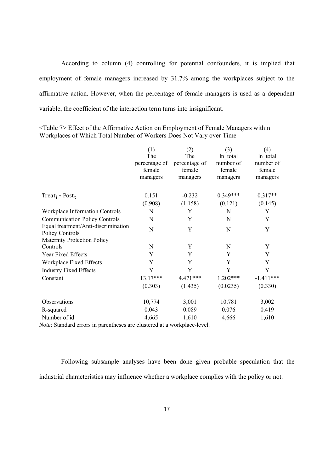According to column (4) controlling for potential confounders, it is implied that employment of female managers increased by 31.7% among the workplaces subject to the affirmative action. However, when the percentage of female managers is used as a dependent variable, the coefficient of the interaction term turns into insignificant.

|                                        | (1)           | (2)           | (3)        | (4)         |
|----------------------------------------|---------------|---------------|------------|-------------|
|                                        | The           | The           | ln total   | ln total    |
|                                        | percentage of | percentage of | number of  | number of   |
|                                        | female        | female        | female     | female      |
|                                        | managers      | managers      | managers   | managers    |
|                                        |               |               |            |             |
| Treat <sub>i</sub> * Post <sub>t</sub> | 0.151         | $-0.232$      | $0.349***$ | $0.317**$   |
|                                        | (0.908)       | (1.158)       | (0.121)    | (0.145)     |
| <b>Workplace Information Controls</b>  | N             | Y             | N          | Y           |
| <b>Communication Policy Controls</b>   | N             | Y             | N          | Y           |
| Equal treatment/Anti-discrimination    | N             | Y             | N          | Y           |
| Policy Controls                        |               |               |            |             |
| <b>Maternity Protection Policy</b>     |               |               |            |             |
| Controls                               | N             | Y             | N          | Y           |
| Year Fixed Effects                     | Y             | Y             | Y          | Y           |
| Workplace Fixed Effects                | Y             | Y             | Y          | Y           |
| <b>Industry Fixed Effects</b>          | Y             | Y             | Y          | Y           |
| Constant                               | 13.17***      | 4.471***      | $1.202***$ | $-1.411***$ |
|                                        | (0.303)       | (1.435)       | (0.0235)   | (0.330)     |
|                                        |               |               |            |             |
| Observations                           | 10,774        | 3,001         | 10,781     | 3,002       |
| R-squared                              | 0.043         | 0.089         | 0.076      | 0.419       |
| Number of id                           | 4,665         | 1,610         | 4,666      | 1,610       |

<Table 7> Effect of the Affirmative Action on Employment of Female Managers within Workplaces of Which Total Number of Workers Does Not Vary over Time

*Note*: Standard errors in parentheses are clustered at a workplace-level.

Following subsample analyses have been done given probable speculation that the industrial characteristics may influence whether a workplace complies with the policy or not.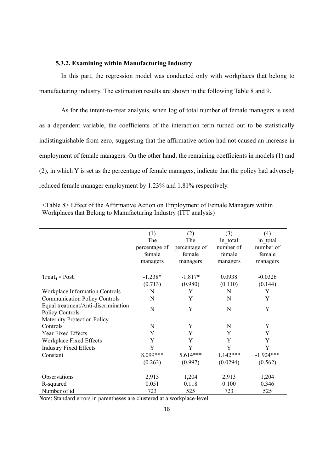#### **5.3.2. Examining within Manufacturing Industry**

In this part, the regression model was conducted only with workplaces that belong to manufacturing industry. The estimation results are shown in the following Table 8 and 9.

As for the intent-to-treat analysis, when log of total number of female managers is used as a dependent variable, the coefficients of the interaction term turned out to be statistically indistinguishable from zero, suggesting that the affirmative action had not caused an increase in employment of female managers. On the other hand, the remaining coefficients in models (1) and (2), in which Y is set as the percentage of female managers, indicate that the policy had adversely reduced female manager employment by 1.23% and 1.81% respectively.

|                                        | (1)           | (2)           | (3)        | (4)         |
|----------------------------------------|---------------|---------------|------------|-------------|
|                                        | The           | The           | ln total   | ln total    |
|                                        | percentage of | percentage of | number of  | number of   |
|                                        | female        | female        | female     | female      |
|                                        | managers      | managers      | managers   | managers    |
|                                        |               |               |            |             |
| Treat <sub>i</sub> * Post <sub>t</sub> | $-1.238*$     | $-1.817*$     | 0.0938     | $-0.0326$   |
|                                        | (0.713)       | (0.980)       | (0.110)    | (0.144)     |
| Workplace Information Controls         | N             | Y             | N          | Y           |
| <b>Communication Policy Controls</b>   | N             | Y             | N          | Y           |
| Equal treatment/Anti-discrimination    |               |               |            |             |
| Policy Controls                        | N             | Y             | N          | Y           |
| <b>Maternity Protection Policy</b>     |               |               |            |             |
| Controls                               | N             | Y             | N          | Y           |
| Year Fixed Effects                     | Y             | Y             | Y          | Y           |
| Workplace Fixed Effects                | Y             | Y             | Y          | Y           |
| <b>Industry Fixed Effects</b>          | Y             | Y             | Y          | Y           |
| Constant                               | 8.099***      | $5.614***$    | $1.142***$ | $-1.924***$ |
|                                        | (0.263)       | (0.997)       | (0.0294)   | (0.562)     |
| Observations                           | 2,913         | 1,204         | 2,913      | 1,204       |
| R-squared                              | 0.051         | 0.118         | 0.100      | 0.346       |
| Number of id                           | 723           | 525           | 723        | 525         |

<Table 8> Effect of the Affirmative Action on Employment of Female Managers within Workplaces that Belong to Manufacturing Industry (ITT analysis)

*Note*: Standard errors in parentheses are clustered at a workplace-level.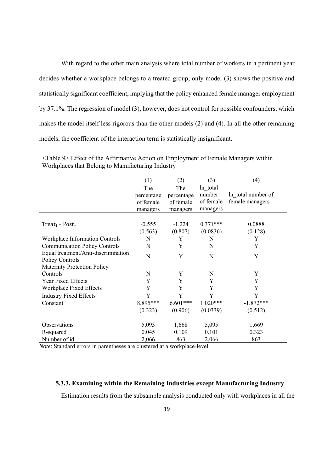With regard to the other main analysis where total number of workers in a pertinent year decides whether a workplace belongs to a treated group, only model (3) shows the positive and statistically significant coefficient, implying that the policy enhanced female manager employment by 37.1%. The regression of model (3), however, does not control for possible confounders, which makes the model itself less rigorous than the other models (2) and (4). In all the other remaining models, the coefficient of the interaction term is statistically insignificant.

|                                        | (1)        | (2)        | (3)         | (4)                |
|----------------------------------------|------------|------------|-------------|--------------------|
|                                        | The        | The        | ln total    |                    |
|                                        | percentage | percentage | number      | In total number of |
|                                        | of female  | of female  | of female   | female managers    |
|                                        | managers   | managers   | managers    |                    |
|                                        |            |            |             |                    |
| Treat <sub>i</sub> * Post <sub>t</sub> | $-0.555$   | $-1.224$   | $0.371***$  | 0.0888             |
|                                        | (0.563)    | (0.807)    | (0.0836)    | (0.128)            |
| Workplace Information Controls         | N          | Y          | N           | Y                  |
| <b>Communication Policy Controls</b>   | N          | Y          | N           | Y                  |
| Equal treatment/Anti-discrimination    | N          | Y          | N           | Y                  |
| Policy Controls                        |            |            |             |                    |
| <b>Maternity Protection Policy</b>     |            |            |             |                    |
| Controls                               | N          | Y          | $\mathbf N$ | Y                  |
| Year Fixed Effects                     | Y          | Y          | Y           | Y                  |
| Workplace Fixed Effects                | Y          | Y          | Y           | Y                  |
| <b>Industry Fixed Effects</b>          | Y          | Y          | Y           | Y                  |
| Constant                               | 8.895***   | $6.601***$ | $1.020***$  | $-1.872***$        |
|                                        | (0.323)    | (0.906)    | (0.0339)    | (0.512)            |
|                                        |            |            |             |                    |
| Observations                           | 5,093      | 1,668      | 5,095       | 1,669              |
| R-squared                              | 0.045      | 0.109      | 0.101       | 0.323              |
| Number of id                           | 2,066      | 863        | 2,066       | 863                |

<Table 9> Effect of the Affirmative Action on Employment of Female Managers within Workplaces that Belong to Manufacturing Industry

*Note*: Standard errors in parentheses are clustered at a workplace-level.

#### **5.3.3. Examining within the Remaining Industries except Manufacturing Industry**

Estimation results from the subsample analysis conducted only with workplaces in all the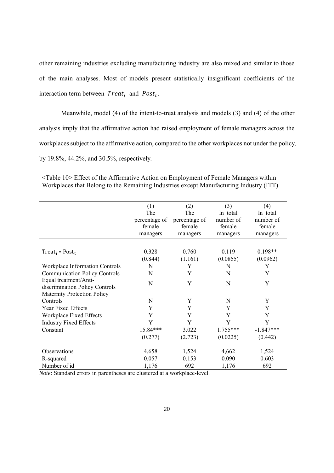other remaining industries excluding manufacturing industry are also mixed and similar to those of the main analyses. Most of models present statistically insignificant coefficients of the interaction term between  $Treat_i$  and  $Post_t$ .

Meanwhile, model (4) of the intent-to-treat analysis and models (3) and (4) of the other analysis imply that the affirmative action had raised employment of female managers across the workplaces subject to the affirmative action, compared to the other workplaces not under the policy, by 19.8%, 44.2%, and 30.5%, respectively.

|                                        | (1)           | (2)           | (3)        | (4)         |
|----------------------------------------|---------------|---------------|------------|-------------|
|                                        | The           | The           | ln total   | ln total    |
|                                        | percentage of | percentage of | number of  | number of   |
|                                        | female        | female        | female     | female      |
|                                        | managers      | managers      | managers   | managers    |
|                                        |               |               |            |             |
| Treat <sub>i</sub> * Post <sub>t</sub> | 0.328         | 0.760         | 0.119      | $0.198**$   |
|                                        | (0.844)       | (1.161)       | (0.0855)   | (0.0962)    |
| Workplace Information Controls         | N             | Y             | N          | Y           |
| <b>Communication Policy Controls</b>   | N             | Y             | N          | Y           |
| Equal treatment/Anti-                  | N             | Y             | N          | Y           |
| discrimination Policy Controls         |               |               |            |             |
| <b>Maternity Protection Policy</b>     |               |               |            |             |
| Controls                               | N             | Y             | N          | Y           |
| Year Fixed Effects                     | Y             | Y             | Y          | Y           |
| Workplace Fixed Effects                | Y             | Y             | Y          | Y           |
| <b>Industry Fixed Effects</b>          | Y             | Y             | Y          | Y           |
| Constant                               | 15.84***      | 3.022         | $1.755***$ | $-1.847***$ |
|                                        | (0.277)       | (2.723)       | (0.0225)   | (0.442)     |
|                                        |               |               |            |             |
| Observations                           | 4,658         | 1,524         | 4,662      | 1,524       |
| R-squared                              | 0.057         | 0.153         | 0.090      | 0.603       |
| Number of id                           | 1,176         | 692           | 1,176      | 692         |

<Table 10> Effect of the Affirmative Action on Employment of Female Managers within Workplaces that Belong to the Remaining Industries except Manufacturing Industry (ITT)

*Note*: Standard errors in parentheses are clustered at a workplace-level.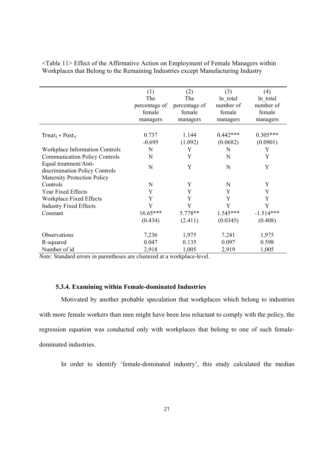|                                                         | (1)<br>The<br>percentage of<br>female<br>managers | (2)<br>The<br>percentage of<br>female<br>managers | (3)<br>ln total<br>number of<br>female<br>managers | (4)<br>ln total<br>number of<br>female<br>managers |
|---------------------------------------------------------|---------------------------------------------------|---------------------------------------------------|----------------------------------------------------|----------------------------------------------------|
| Treat <sub>i</sub> * Post <sub>t</sub>                  | 0.737<br>$-0.695$                                 | 1.144<br>(1.092)                                  | $0.442***$<br>(0.0682)                             | $0.305***$<br>(0.0901)                             |
| <b>Workplace Information Controls</b>                   | N                                                 | Y                                                 | N                                                  | Y                                                  |
| <b>Communication Policy Controls</b>                    | N                                                 | Y                                                 | N                                                  | Y                                                  |
| Equal treatment/Anti-<br>discrimination Policy Controls | N                                                 | Y                                                 | N                                                  | Y                                                  |
| Maternity Protection Policy                             |                                                   |                                                   |                                                    |                                                    |
| Controls                                                | N                                                 | Y                                                 | N                                                  | Y                                                  |
| Year Fixed Effects                                      | Y                                                 | Y                                                 | Y                                                  | Y                                                  |
| Workplace Fixed Effects                                 | Y                                                 | Y                                                 | Y                                                  | Y                                                  |
| <b>Industry Fixed Effects</b>                           | Y                                                 | Y                                                 | Y                                                  | Y                                                  |
| Constant                                                | $16.65***$                                        | 5.778**                                           | $1.545***$                                         | $-1.514***$                                        |
|                                                         | (0.434)                                           | (2.411)                                           | (0.0345)                                           | (0.408)                                            |
| <b>Observations</b>                                     | 7,236                                             | 1,975                                             | 7,241                                              | 1,975                                              |
| R-squared                                               | 0.047                                             | 0.135                                             | 0.097                                              | 0.598                                              |
| Number of id                                            | 2,918                                             | 1,005                                             | 2,919                                              | 1,005                                              |

<Table 11> Effect of the Affirmative Action on Employment of Female Managers within Workplaces that Belong to the Remaining Industries except Manufacturing Industry

*Note*: Standard errors in parentheses are clustered at a workplace-level.

#### **5.3.4. Examining within Female-dominated Industries**

Motivated by another probable speculation that workplaces which belong to industries with more female workers than men might have been less reluctant to comply with the policy, the regression equation was conducted only with workplaces that belong to one of such femaledominated industries.

In order to identify 'female-dominated industry', this study calculated the median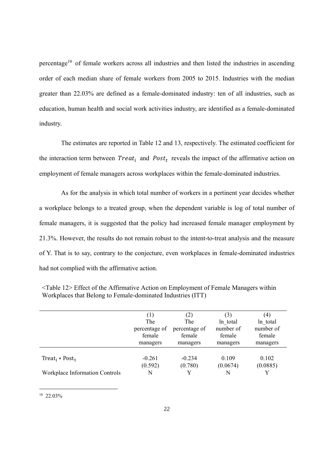percentage<sup>10</sup> of female workers across all industries and then listed the industries in ascending order of each median share of female workers from 2005 to 2015. Industries with the median greater than 22.03% are defined as a female-dominated industry: ten of all industries, such as education, human health and social work activities industry, are identified as a female-dominated industry.

The estimates are reported in Table 12 and 13, respectively. The estimated coefficient for the interaction term between  $Treat_i$  and  $Post_t$  reveals the impact of the affirmative action on employment of female managers across workplaces within the female-dominated industries.

As for the analysis in which total number of workers in a pertinent year decides whether a workplace belongs to a treated group, when the dependent variable is log of total number of female managers, it is suggested that the policy had increased female manager employment by 21.3%. However, the results do not remain robust to the intent-to-treat analysis and the measure of Y. That is to say, contrary to the conjecture, even workplaces in female-dominated industries had not complied with the affirmative action.

|                                          |               | $\left( 2\right)$ | (3)       | (4)       |
|------------------------------------------|---------------|-------------------|-----------|-----------|
|                                          | The           | The               | ln total  | ln total  |
|                                          | percentage of | percentage of     | number of | number of |
|                                          | female        | female            | female    | female    |
|                                          | managers      | managers          | managers  | managers  |
|                                          |               |                   |           |           |
| Treat <sub>i</sub> $*$ Post <sub>t</sub> | $-0.261$      | $-0.234$          | 0.109     | 0.102     |
|                                          | (0.592)       | (0.780)           | (0.0674)  | (0.0885)  |
| Workplace Information Controls           | N             |                   | N         |           |

<Table 12> Effect of the Affirmative Action on Employment of Female Managers within Workplaces that Belong to Female-dominated Industries (ITT)

10 22.03%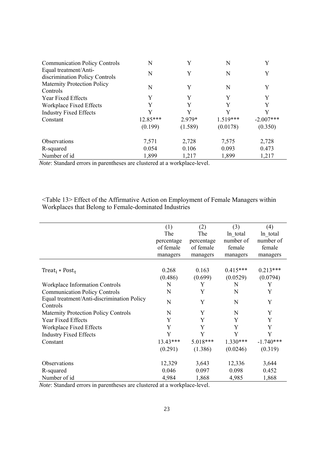| <b>Communication Policy Controls</b>                    | N          |         | N          | Y           |
|---------------------------------------------------------|------------|---------|------------|-------------|
| Equal treatment/Anti-<br>discrimination Policy Controls | N          | Y       | N          | Y           |
| <b>Maternity Protection Policy</b><br>Controls          | N          | Y       | N          | Y           |
| Year Fixed Effects                                      | Y          | Y       | Y          | Y           |
| Workplace Fixed Effects                                 | Y          | Y       | Y          | Y           |
| <b>Industry Fixed Effects</b>                           | Y          | Y       | Y          | Y           |
| Constant                                                | $12.85***$ | 2.979*  | $1.519***$ | $-2.007***$ |
|                                                         | (0.199)    | (1.589) | (0.0178)   | (0.350)     |
| <b>Observations</b>                                     | 7,571      | 2,728   | 7,575      | 2,728       |
| R-squared                                               | 0.054      | 0.106   | 0.093      | 0.473       |
| Number of id                                            | 1,899      | 1,217   | 1,899      | 1,217       |

*Note*: Standard errors in parentheses are clustered at a workplace-level.

<Table 13> Effect of the Affirmative Action on Employment of Female Managers within Workplaces that Belong to Female-dominated Industries

|                                             | (1)        | (2)        | (3)        | (4)         |
|---------------------------------------------|------------|------------|------------|-------------|
|                                             | The        | The        | ln total   | ln total    |
|                                             | percentage | percentage | number of  | number of   |
|                                             | of female  | of female  | female     | female      |
|                                             | managers   | managers   | managers   | managers    |
|                                             |            |            |            |             |
| Treat <sub>i</sub> * Post <sub>t</sub>      | 0.268      | 0.163      | $0.415***$ | $0.213***$  |
|                                             | (0.486)    | (0.699)    | (0.0529)   | (0.0794)    |
| Workplace Information Controls              | N          | Y          | N          | Y           |
| <b>Communication Policy Controls</b>        | N          | Y          | N          | Y           |
| Equal treatment/Anti-discrimination Policy  | N          | Y          | N          | Y           |
| Controls                                    |            |            |            |             |
| <b>Maternity Protection Policy Controls</b> | N          | Y          | N          | Y           |
| Year Fixed Effects                          | Y          | Y          | Y          | Y           |
| Workplace Fixed Effects                     | Y          | Y          | Y          | Y           |
| <b>Industry Fixed Effects</b>               | Y          | Y          | Y          | Y           |
| Constant                                    | 13.43***   | $5.018***$ | $1.330***$ | $-1.740***$ |
|                                             | (0.291)    | (1.386)    | (0.0246)   | (0.319)     |
| <b>Observations</b>                         | 12,329     | 3,643      | 12,336     | 3,644       |
|                                             | 0.046      | 0.097      | 0.098      | 0.452       |
| R-squared                                   |            |            |            |             |
| Number of id                                | 4,984      | 1,868      | 4,985      | 1,868       |

*Note*: Standard errors in parentheses are clustered at a workplace-level.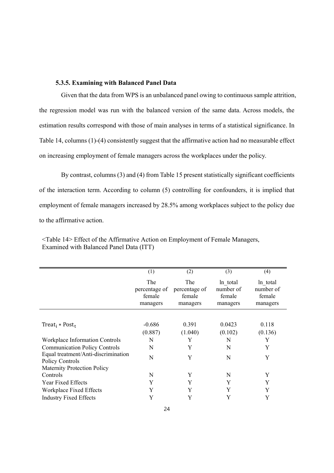#### **5.3.5. Examining with Balanced Panel Data**

Given that the data from WPS is an unbalanced panel owing to continuous sample attrition, the regression model was run with the balanced version of the same data. Across models, the estimation results correspond with those of main analyses in terms of a statistical significance. In Table 14, columns (1)-(4) consistently suggest that the affirmative action had no measurable effect on increasing employment of female managers across the workplaces under the policy.

By contrast, columns (3) and (4) from Table 15 present statistically significant coefficients of the interaction term. According to column (5) controlling for confounders, it is implied that employment of female managers increased by 28.5% among workplaces subject to the policy due to the affirmative action.

|                                        | (1)           | (2)           | (3)       | (4)       |
|----------------------------------------|---------------|---------------|-----------|-----------|
|                                        | The           | <b>The</b>    | ln total  | ln total  |
|                                        | percentage of | percentage of | number of | number of |
|                                        | female        | female        | female    | female    |
|                                        | managers      | managers      | managers  | managers  |
|                                        |               |               |           |           |
| Treat <sub>i</sub> * Post <sub>t</sub> | $-0.686$      | 0.391         | 0.0423    | 0.118     |
|                                        | (0.887)       | (1.040)       | (0.102)   | (0.136)   |
| Workplace Information Controls         | N             | Y             | N         | Y         |
| <b>Communication Policy Controls</b>   | N             | Y             | N         | Y         |
| Equal treatment/Anti-discrimination    | N             | Y             | N         | Y         |
| Policy Controls                        |               |               |           |           |
| <b>Maternity Protection Policy</b>     |               |               |           |           |
| Controls                               | N             | Y             | N         | Y         |
| Year Fixed Effects                     | Y             | Y             | Y         | Y         |
| Workplace Fixed Effects                | Y             | Y             | Y         | Y         |
| <b>Industry Fixed Effects</b>          | Y             | Y             | Y         | Y         |

<Table 14> Effect of the Affirmative Action on Employment of Female Managers, Examined with Balanced Panel Data (ITT)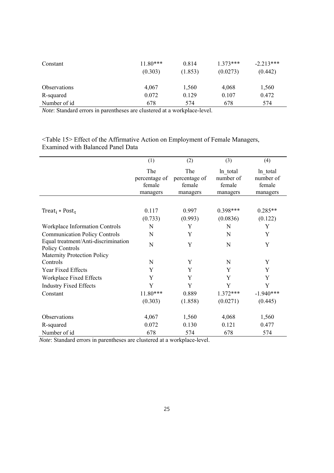| Constant            | $11.80***$<br>(0.303) | 0.814<br>(1.853) | $1.373***$<br>(0.0273) | $-2.213***$<br>(0.442) |
|---------------------|-----------------------|------------------|------------------------|------------------------|
| <b>Observations</b> | 4,067                 | 1,560            | 4,068                  | 1,560                  |
| R-squared           | 0.072                 | 0.129            | 0.107                  | 0.472                  |
| Number of id        | 678                   | 574              | 678                    | 574                    |

*Note*: Standard errors in parentheses are clustered at a workplace-level.

<Table 15> Effect of the Affirmative Action on Employment of Female Managers, Examined with Balanced Panel Data

|                                                        | (1)                                        | (2)                                        | (3)                                         | (4)                                         |
|--------------------------------------------------------|--------------------------------------------|--------------------------------------------|---------------------------------------------|---------------------------------------------|
|                                                        | The<br>percentage of<br>female<br>managers | The<br>percentage of<br>female<br>managers | ln total<br>number of<br>female<br>managers | ln total<br>number of<br>female<br>managers |
|                                                        |                                            |                                            |                                             |                                             |
| Treat <sub>i</sub> * Post <sub>t</sub>                 | 0.117                                      | 0.997                                      | 0.398***                                    | $0.285**$                                   |
|                                                        | (0.733)                                    | (0.993)                                    | (0.0836)                                    | (0.122)                                     |
| Workplace Information Controls                         | N                                          | Y                                          | N                                           | Y                                           |
| <b>Communication Policy Controls</b>                   | N                                          | Y                                          | N                                           | Y                                           |
| Equal treatment/Anti-discrimination<br>Policy Controls | N                                          | Y                                          | N                                           | Y                                           |
| <b>Maternity Protection Policy</b>                     |                                            |                                            |                                             |                                             |
| Controls                                               | N                                          | Y                                          | N                                           | Y                                           |
| Year Fixed Effects                                     | Y                                          | Y                                          | Y                                           | Y                                           |
| Workplace Fixed Effects                                | Y                                          | Y                                          | Y                                           | Y                                           |
| <b>Industry Fixed Effects</b>                          | Y                                          | Y                                          | Y                                           | Y                                           |
| Constant                                               | $11.80***$                                 | 0.889                                      | $1.372***$                                  | $-1.940***$                                 |
|                                                        | (0.303)                                    | (1.858)                                    | (0.0271)                                    | (0.445)                                     |
| Observations                                           | 4,067                                      | 1,560                                      | 4,068                                       | 1,560                                       |
| R-squared                                              | 0.072                                      | 0.130                                      | 0.121                                       | 0.477                                       |
| Number of id                                           | 678                                        | 574                                        | 678                                         | 574                                         |

*Note*: Standard errors in parentheses are clustered at a workplace-level.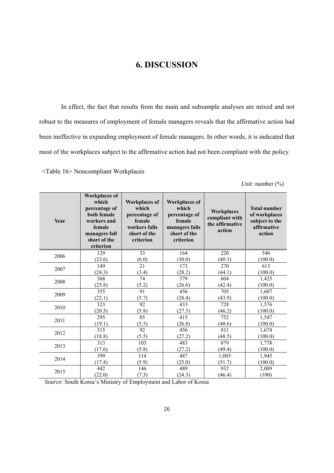## **6. DISCUSSION**

In effect, the fact that results from the main and subsample analyses are mixed and not robust to the measures of employment of female managers reveals that the affirmative action had been ineffective in expanding employment of female managers. In other words, it is indicated that most of the workplaces subject to the affirmative action had not been compliant with the policy.

<Table 16> Noncompliant Workplaces

*Unit*: number (%)

| Year | <b>Workplaces of</b><br>which<br>percentage of<br>both female<br>workers and<br>female<br>managers fall<br>short of the<br>criterion | <b>Workplaces of</b><br>which<br>percentage of<br>female<br>workers falls<br>short of the<br>criterion | <b>Workplaces of</b><br>which<br>percentage of<br>female<br>managers falls<br>short of the<br>criterion | <b>Workplaces</b><br>compliant with<br>the affirmative<br>action | <b>Total number</b><br>of workplaces<br>subject to the<br>affirmative<br>action |
|------|--------------------------------------------------------------------------------------------------------------------------------------|--------------------------------------------------------------------------------------------------------|---------------------------------------------------------------------------------------------------------|------------------------------------------------------------------|---------------------------------------------------------------------------------|
| 2006 | 129                                                                                                                                  | 33                                                                                                     | 164                                                                                                     | 220                                                              | 546                                                                             |
|      | (23.6)                                                                                                                               | (6.0)                                                                                                  | (30.0)                                                                                                  | (40.3)                                                           | (100.0)                                                                         |
| 2007 | 149                                                                                                                                  | 21                                                                                                     | 173                                                                                                     | 270                                                              | 613                                                                             |
|      | (24.3)                                                                                                                               | (3.4)                                                                                                  | (28.2)                                                                                                  | (44.1)                                                           | (100.0)                                                                         |
| 2008 | 368                                                                                                                                  | 74                                                                                                     | 379                                                                                                     | 604                                                              | 1,425                                                                           |
|      | (25.8)                                                                                                                               | (5.2)                                                                                                  | (26.6)                                                                                                  | (42.4)                                                           | (100.0)                                                                         |
| 2009 | 355                                                                                                                                  | 91                                                                                                     | 456                                                                                                     | 705                                                              | 1,607                                                                           |
|      | (22.1)                                                                                                                               | (5.7)                                                                                                  | (28.4)                                                                                                  | (43.9)                                                           | (100.0)                                                                         |
| 2010 | 323                                                                                                                                  | 92                                                                                                     | 433                                                                                                     | 728                                                              | 1,576                                                                           |
|      | (20.5)                                                                                                                               | (5.8)                                                                                                  | (27.5)                                                                                                  | (46.2)                                                           | (100.0)                                                                         |
| 2011 | 295                                                                                                                                  | 85                                                                                                     | 415                                                                                                     | 752                                                              | 1,547                                                                           |
|      | (19.1)                                                                                                                               | (5.5)                                                                                                  | (26.8)                                                                                                  | (48.6)                                                           | (100.0)                                                                         |
| 2012 | 315                                                                                                                                  | $\overline{92}$                                                                                        | 456                                                                                                     | 811                                                              | 1,674                                                                           |
|      | (18.8)                                                                                                                               | (5.5)                                                                                                  | (27.2)                                                                                                  | (48.5)                                                           | (100.0)                                                                         |
| 2013 | 313                                                                                                                                  | 103                                                                                                    | 483                                                                                                     | 879                                                              | 1,778                                                                           |
|      | (17.6)                                                                                                                               | (5.8)                                                                                                  | (27.2)                                                                                                  | (49.4)                                                           | (100.0)                                                                         |
| 2014 | 399                                                                                                                                  | 114                                                                                                    | 487                                                                                                     | 1,005                                                            | 1,945                                                                           |
|      | (17.4)                                                                                                                               | (5.9)                                                                                                  | (25.0)                                                                                                  | (51.7)                                                           | (100.0)                                                                         |
| 2015 | 442                                                                                                                                  | 146                                                                                                    | 489                                                                                                     | 932                                                              | 2,009                                                                           |
|      | (22.0)                                                                                                                               | (7.3)                                                                                                  | (24.3)                                                                                                  | (46.4)                                                           | (100)                                                                           |

*Source*: South Korea's Ministry of Employment and Labor of Korea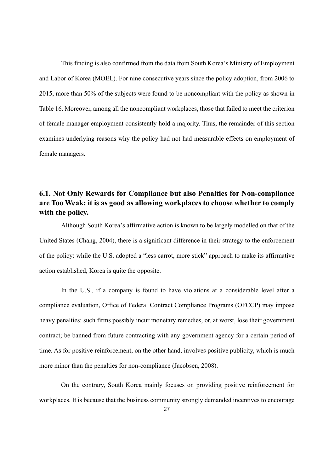This finding is also confirmed from the data from South Korea's Ministry of Employment and Labor of Korea (MOEL). For nine consecutive years since the policy adoption, from 2006 to 2015, more than 50% of the subjects were found to be noncompliant with the policy as shown in Table 16. Moreover, among all the noncompliant workplaces, those that failed to meet the criterion of female manager employment consistently hold a majority. Thus, the remainder of this section examines underlying reasons why the policy had not had measurable effects on employment of female managers.

## **6.1. Not Only Rewards for Compliance but also Penalties for Non-compliance are Too Weak: it is as good as allowing workplaces to choose whether to comply with the policy.**

Although South Korea's affirmative action is known to be largely modelled on that of the United States (Chang, 2004), there is a significant difference in their strategy to the enforcement of the policy: while the U.S. adopted a "less carrot, more stick" approach to make its affirmative action established, Korea is quite the opposite.

In the U.S., if a company is found to have violations at a considerable level after a compliance evaluation, Office of Federal Contract Compliance Programs (OFCCP) may impose heavy penalties: such firms possibly incur monetary remedies, or, at worst, lose their government contract; be banned from future contracting with any government agency for a certain period of time. As for positive reinforcement, on the other hand, involves positive publicity, which is much more minor than the penalties for non-compliance (Jacobsen, 2008).

On the contrary, South Korea mainly focuses on providing positive reinforcement for workplaces. It is because that the business community strongly demanded incentives to encourage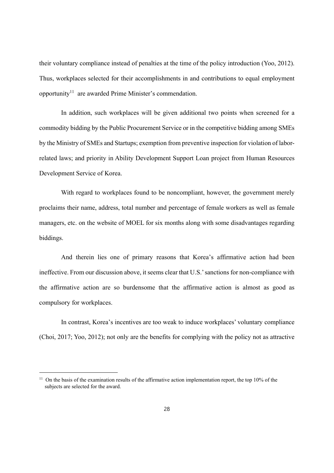their voluntary compliance instead of penalties at the time of the policy introduction (Yoo, 2012). Thus, workplaces selected for their accomplishments in and contributions to equal employment opportunity<sup>11</sup> are awarded Prime Minister's commendation.

In addition, such workplaces will be given additional two points when screened for a commodity bidding by the Public Procurement Service or in the competitive bidding among SMEs by the Ministry of SMEs and Startups; exemption from preventive inspection for violation of laborrelated laws; and priority in Ability Development Support Loan project from Human Resources Development Service of Korea.

With regard to workplaces found to be noncompliant, however, the government merely proclaims their name, address, total number and percentage of female workers as well as female managers, etc. on the website of MOEL for six months along with some disadvantages regarding biddings.

And therein lies one of primary reasons that Korea's affirmative action had been ineffective. From our discussion above, it seems clear that U.S.' sanctions for non-compliance with the affirmative action are so burdensome that the affirmative action is almost as good as compulsory for workplaces.

In contrast, Korea's incentives are too weak to induce workplaces' voluntary compliance (Choi, 2017; Yoo, 2012); not only are the benefits for complying with the policy not as attractive

 $11$  On the basis of the examination results of the affirmative action implementation report, the top 10% of the subjects are selected for the award.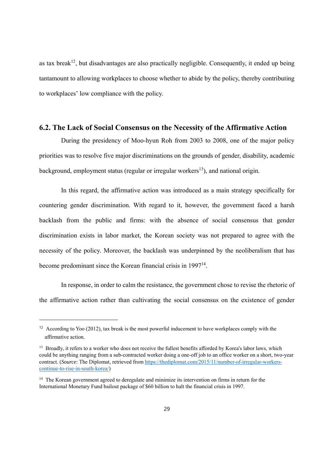as tax break<sup>12</sup>, but disadvantages are also practically negligible. Consequently, it ended up being tantamount to allowing workplaces to choose whether to abide by the policy, thereby contributing to workplaces' low compliance with the policy.

#### **6.2. The Lack of Social Consensus on the Necessity of the Affirmative Action**

During the presidency of Moo-hyun Roh from 2003 to 2008, one of the major policy priorities was to resolve five major discriminations on the grounds of gender, disability, academic background, employment status (regular or irregular workers<sup>13</sup>), and national origin.

In this regard, the affirmative action was introduced as a main strategy specifically for countering gender discrimination. With regard to it, however, the government faced a harsh backlash from the public and firms: with the absence of social consensus that gender discrimination exists in labor market, the Korean society was not prepared to agree with the necessity of the policy. Moreover, the backlash was underpinned by the neoliberalism that has become predominant since the Korean financial crisis in 199714.

In response, in order to calm the resistance, the government chose to revise the rhetoric of the affirmative action rather than cultivating the social consensus on the existence of gender

<sup>&</sup>lt;sup>12</sup> According to Yoo (2012), tax break is the most powerful inducement to have workplaces comply with the affirmative action.

<sup>&</sup>lt;sup>13</sup> Broadly, it refers to a worker who does not receive the fullest benefits afforded by Korea's labor laws, which could be anything ranging from a sub-contracted worker doing a one-off job to an office worker on a short, two-year contract. (*Source*: The Diplomat, retrieved from https://thediplomat.com/2015/11/number-of-irregular-workerscontinue-to-rise-in-south-korea/)

<sup>&</sup>lt;sup>14</sup> The Korean government agreed to deregulate and minimize its intervention on firms in return for the International Monetary Fund bailout package of \$60 billion to halt the financial crisis in 1997.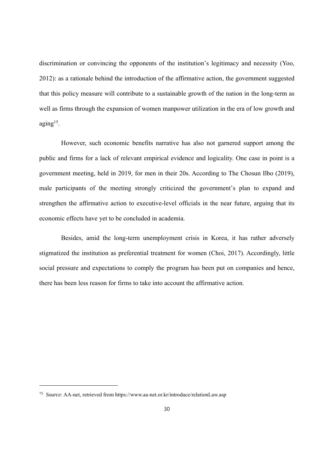discrimination or convincing the opponents of the institution's legitimacy and necessity (Yoo, 2012): as a rationale behind the introduction of the affirmative action, the government suggested that this policy measure will contribute to a sustainable growth of the nation in the long-term as well as firms through the expansion of women manpower utilization in the era of low growth and  $aging<sup>15</sup>$ .

However, such economic benefits narrative has also not garnered support among the public and firms for a lack of relevant empirical evidence and logicality. One case in point is a government meeting, held in 2019, for men in their 20s. According to The Chosun Ilbo (2019), male participants of the meeting strongly criticized the government's plan to expand and strengthen the affirmative action to executive-level officials in the near future, arguing that its economic effects have yet to be concluded in academia.

Besides, amid the long-term unemployment crisis in Korea, it has rather adversely stigmatized the institution as preferential treatment for women (Choi, 2017). Accordingly, little social pressure and expectations to comply the program has been put on companies and hence, there has been less reason for firms to take into account the affirmative action.

<sup>15</sup> *Source*: AA-net, retrieved from https://www.aa-net.or.kr/introduce/relationLaw.asp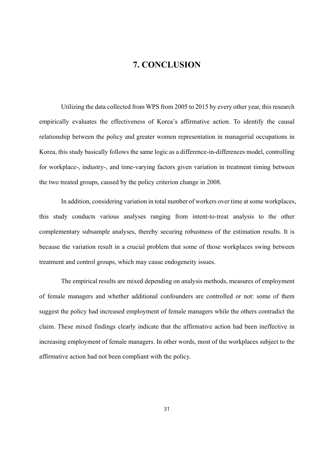## **7. CONCLUSION**

Utilizing the data collected from WPS from 2005 to 2015 by every other year, this research empirically evaluates the effectiveness of Korea's affirmative action. To identify the causal relationship between the policy and greater women representation in managerial occupations in Korea, this study basically follows the same logic as a difference-in-differences model, controlling for workplace-, industry-, and time-varying factors given variation in treatment timing between the two treated groups, caused by the policy criterion change in 2008.

In addition, considering variation in total number of workers over time at some workplaces, this study conducts various analyses ranging from intent-to-treat analysis to the other complementary subsample analyses, thereby securing robustness of the estimation results. It is because the variation result in a crucial problem that some of those workplaces swing between treatment and control groups, which may cause endogeneity issues.

The empirical results are mixed depending on analysis methods, measures of employment of female managers and whether additional confounders are controlled or not: some of them suggest the policy had increased employment of female managers while the others contradict the claim. These mixed findings clearly indicate that the affirmative action had been ineffective in increasing employment of female managers. In other words, most of the workplaces subject to the affirmative action had not been compliant with the policy.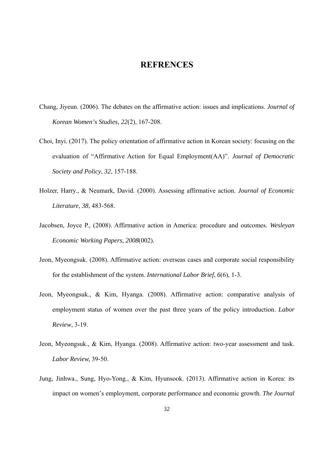#### **REFRENCES**

- Chang, Jiyeun. (2006). The debates on the affirmative action: issues and implications. *Journal of Korean Women's Studies*, *22*(2), 167-208.
- Choi, Inyi. (2017). The policy orientation of affirmative action in Korean society: focusing on the evaluation of "Affirmative Action for Equal Employment(AA)". *Journal of Democratic Society and Policy*, *32*, 157-188.
- Holzer, Harry., & Neumark, David. (2000). Assessing affirmative action. *Journal of Economic Literature*, *38*, 483-568.
- Jacobsen, Joyce P., (2008). Affirmative action in America: procedure and outcomes. *Wesleyan Economic Working Papers, 2008*(002)*.*
- Jeon, Myeongsuk. (2008). Affirmative action: overseas cases and corporate social responsibility for the establishment of the system. *International Labor Brief*, *6*(6), 1-3.
- Jeon, Myeongsuk., & Kim, Hyanga. (2008). Affirmative action: comparative analysis of employment status of women over the past three years of the policy introduction. *Labor Review*, 3-19.
- Jeon, Myeongsuk., & Kim, Hyanga. (2008). Affirmative action: two-year assessment and task. *Labor Review,* 39-50.
- Jung, Jinhwa., Sung, Hyo-Yong., & Kim, Hyunsook. (2013). Affirmative action in Korea: its impact on women's employment, corporate performance and economic growth. *The Journal*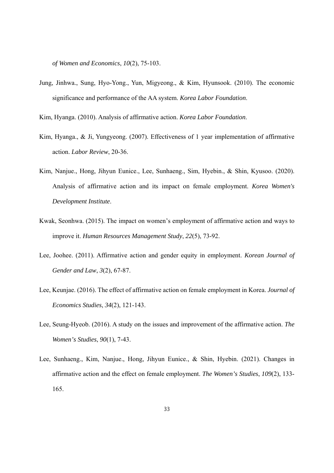*of Women and Economics*, *10*(2), 75-103.

- Jung, Jinhwa., Sung, Hyo-Yong., Yun, Migyeong., & Kim, Hyunsook. (2010). The economic significance and performance of the AA system. *Korea Labor Foundation*.
- Kim, Hyanga. (2010). Analysis of affirmative action. *Korea Labor Foundation*.
- Kim, Hyanga., & Ji, Yungyeong. (2007). Effectiveness of 1 year implementation of affirmative action. *Labor Review*, 20-36.
- Kim, Nanjue., Hong, Jihyun Eunice., Lee, Sunhaeng., Sim, Hyebin., & Shin, Kyusoo. (2020). Analysis of affirmative action and its impact on female employment. *Korea Women's Development Institute*.
- Kwak, Seonhwa. (2015). The impact on women's employment of affirmative action and ways to improve it. *Human Resources Management Study*, *22*(5), 73-92.
- Lee, Joohee. (2011). Affirmative action and gender equity in employment. *Korean Journal of Gender and Law*, *3*(2), 67-87.
- Lee, Keunjae. (2016). The effect of affirmative action on female employment in Korea. *Journal of Economics Studies*, *34*(2), 121-143.
- Lee, Seung-Hyeob. (2016). A study on the issues and improvement of the affirmative action. *The Women's Studies*, *90*(1), 7-43.
- Lee, Sunhaeng., Kim, Nanjue., Hong, Jihyun Eunice., & Shin, Hyebin. (2021). Changes in affirmative action and the effect on female employment. *The Women's Studies*, *109*(2), 133- 165.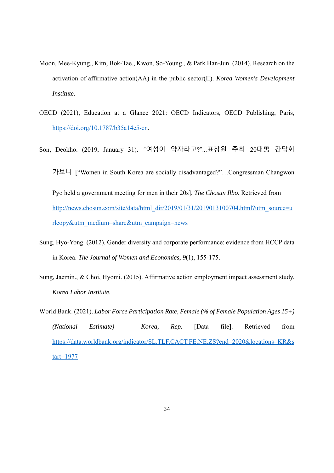- Moon, Mee-Kyung., Kim, Bok-Tae., Kwon, So-Young., & Park Han-Jun. (2014). Research on the activation of affirmative action(AA) in the public sector(II). *Korea Women's Development Institute*.
- OECD (2021), Education at a Glance 2021: OECD Indicators, OECD Publishing, Paris, https://doi.org/10.1787/b35a14e5-en.
- Son, Deokho. (2019, January 31). "여성이 약자라고?"…표창원 주최 20대男 간담회 가보니 ["Women in South Korea are socially disadvantaged?"…Congressman Changwon Pyo held a government meeting for men in their 20s]. *The Chosun Ilbo*. Retrieved from http://news.chosun.com/site/data/html\_dir/2019/01/31/2019013100704.html?utm\_source=u rlcopy&utm\_medium=share&utm\_campaign=news
- Sung, Hyo-Yong. (2012). Gender diversity and corporate performance: evidence from HCCP data in Korea. *The Journal of Women and Economics*, *9*(1), 155-175.
- Sung, Jaemin., & Choi, Hyomi. (2015). Affirmative action employment impact assessment study. *Korea Labor Institute.*
- World Bank. (2021). *Labor Force Participation Rate, Female (% of Female Population Ages 15+) (National Estimate) – Korea, Rep.* [Data file]. Retrieved from https://data.worldbank.org/indicator/SL.TLF.CACT.FE.NE.ZS?end=2020&locations=KR&s tart=1977